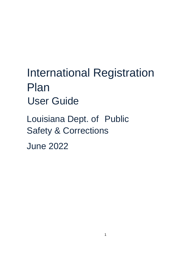# International Registration Plan User Guide

Louisiana Dept. of Public Safety & Corrections

June 2022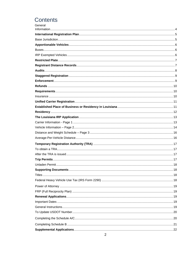# Contents

| General |  |
|---------|--|
|         |  |
|         |  |
|         |  |
|         |  |
|         |  |
|         |  |
|         |  |
|         |  |
|         |  |
|         |  |
|         |  |
|         |  |
|         |  |
|         |  |
|         |  |
|         |  |
|         |  |
|         |  |
|         |  |
|         |  |
|         |  |
|         |  |
|         |  |
|         |  |
|         |  |
|         |  |
|         |  |
|         |  |
|         |  |
|         |  |
|         |  |
|         |  |
|         |  |
|         |  |
|         |  |
|         |  |
|         |  |
|         |  |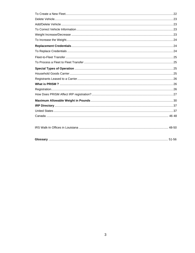| . |  |
|---|--|
|   |  |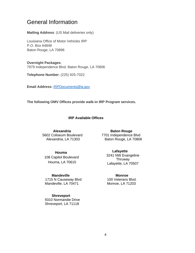# <span id="page-3-0"></span>General Information

**Mailing Address**: (US Mail deliveries only)

Louisiana Office of Motor Vehicles IRP P.O. Box 64848 Baton Rouge, LA 70896

**Overnight Packages**: 7979 Independence Blvd, Baton Rouge, LA 70806

**Telephone Number**: (225) 925-7022

**Email Address:** IRPDocuments@la.gov

**The following OMV Offices provide walk-in IRP Program services.** 

# **IRP Available Offices**

 **Alexandria**  5602 Coliseum Boulevard Alexandria, LA 71303

#### **Houma**

 108 Capitol Boulevard Houma, LA 70615

 **Mandeville** 1715 N Causeway Blvd Mandeville, LA 70471

#### **Shreveport**

9310 Normandie Drive Shreveport, LA 71118

**Baton Rouge** 7701 Independence Blvd Baton Rouge, LA 70806

> **Lafayette** 3241 NW Evangeline Thruway Lafayette, LA 70507

**Monroe** 100 Veterans Blvd. Monroe, LA 71203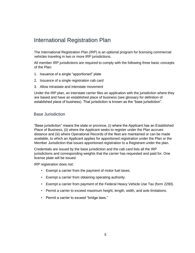# <span id="page-4-0"></span>International Registration Plan

The International Registration Plan (IRP) is an optional program for licensing commercial vehicles traveling in two or more IRP jurisdictions.

All member IRP jurisdictions are required to comply with the following three basic concepts of the Plan:

- 1. Issuance of a single "apportioned" plate
- 2. Issuance of a single registration cab card
- 3. Allow intrastate and interstate movement

Under the IRP plan, an interstate carrier files an application with the jurisdiction where they are based and have an established place of business (see glossary for definition of established place of business). That jurisdiction is known as the "base jurisdiction".

### <span id="page-4-1"></span>Base Jurisdiction

"Base jurisdiction" means the state or province, (i) where the Applicant has an Established Place of Business, (ii) where the Applicant seeks to register under the Plan accrues distance and (iii) where Operational Records of the fleet are maintained or can be made available, to which an Applicant applies for apportioned registration under the Plan or the Member Jurisdiction that issues apportioned registration to a Registrant under the plan.

Credentials are issued by the base jurisdiction and the cab card lists all the IRP jurisdictions and corresponding weights that the carrier has requested and paid for. One license plate will be issued.

IRP registration does not:

- Exempt a carrier from the payment of motor fuel taxes.
- Exempt a carrier from obtaining operating authority.
- Exempt a carrier from payment of the Federal Heavy Vehicle Use Tax (form 2290).
- Permit a carrier to exceed maximum height, length, width, and axle limitations.
- Permit a carrier to exceed "bridge laws."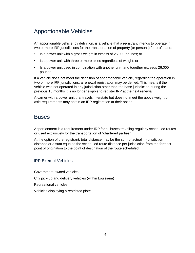# <span id="page-5-0"></span>Apportionable Vehicles

An apportionable vehicle, by definition, is a vehicle that a registrant intends to operate in two or more IRP jurisdictions for the transportation of property (or persons) for profit, and:

- Is a power unit with a gross weight in excess of 26,000 pounds; or
- Is a power unit with three or more axles regardless of weight; or
- Is a power unit used in combination with another unit, and together exceeds 26,000 pounds

If a vehicle does not meet the definition of apportionable vehicle, regarding the operation in two or more IRP jurisdictions, a renewal registration may be denied. This means if the vehicle was not operated in any jurisdiction other than the base jurisdiction during the previous 18 months it is no longer eligible to register IRP at the next renewal.

A carrier with a power unit that travels interstate but does not meet the above weight or axle requirements may obtain an IRP registration at their option.

# <span id="page-5-1"></span>**Buses**

Apportionment is a requirement under IRP for all buses traveling regularly scheduled routes or used exclusively for the transportation of "chartered parties".

At the option of the registrant, total distance may be the sum of actual in-jurisdiction distance or a sum equal to the scheduled route distance per jurisdiction from the farthest point of origination to the point of destination of the route scheduled.

# <span id="page-5-2"></span>IRP Exempt Vehicles

Government-owned vehicles City pick-up and delivery vehicles (within Louisiana) Recreational vehicles Vehicles displaying a restricted plate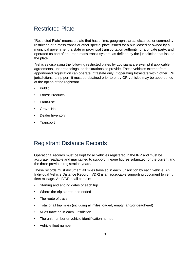# <span id="page-6-0"></span>Restricted Plate

"Restricted Plate" means a plate that has a time, geographic area, distance, or commodity restriction or a mass transit or other special plate issued for a bus leased or owned by a municipal government, a state or provincial transportation authority, or a private party, and operated as part of an urban mass transit system, as defined by the jurisdiction that issues the plate.

Vehicles displaying the following restricted plates by Louisiana are exempt if applicable agreements, understandings, or declarations so provide. These vehicles exempt from apportioned registration can operate Intrastate only. If operating Intrastate within other IRP jurisdictions, a trip permit must be obtained prior to entry OR vehicles may be apportioned at the option of the registrant.

- Public
- Forest Products
- Farm-use
- Gravel Haul
- Dealer Inventory
- Transport

# <span id="page-6-1"></span>Registrant Distance Records

Operational records must be kept for all vehicles registered in the IRP and must be accurate, readable and maintained to support mileage figures submitted for the current and the three previous registration years.

These records must document all miles traveled in each jurisdiction by each vehicle. An Individual Vehicle Distance Record (IVDR) is an acceptable supporting document to verify fleet mileage. An IVDR shall contain:

- Starting and ending dates of each trip
- Where the trip started and ended
- The route of travel
- Total of all trip miles (including all miles loaded, empty, and/or deadhead)
- Miles traveled in each jurisdiction
- The unit number or vehicle identification number
- Vehicle fleet number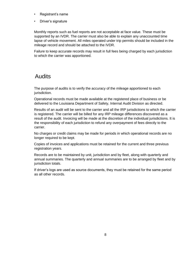- Registrant's name
- Driver's signature

Monthly reports such as fuel reports are not acceptable at face value. These must be supported by an IVDR. The carrier must also be able to explain any unaccounted time lapse of vehicle movement. All miles operated under trip permits should be included in the mileage record and should be attached to the IVDR.

Failure to keep accurate records may result in full fees being charged by each jurisdiction to which the carrier was apportioned.

# <span id="page-7-0"></span>Audits

The purpose of audits is to verify the accuracy of the mileage apportioned to each jurisdiction.

Operational records must be made available at the registered place of business or be delivered to the Louisiana Department of Safety, Internal Audit Division as directed.

Results of an audit will be sent to the carrier and all the IRP jurisdictions to which the carrier is registered. The carrier will be billed for any IRP mileage differences discovered as a result of the audit. Invoicing will be made at the discretion of the individual jurisdictions. It is the responsibility of each jurisdiction to refund any overpayment of fees directly to the carrier.

No charges or credit claims may be made for periods in which operational records are no longer required to be kept.

Copies of invoices and applications must be retained for the current and three previous registration years.

Records are to be maintained by unit, jurisdiction and by fleet, along with quarterly and annual summaries. The quarterly and annual summaries are to be arranged by fleet and by jurisdiction totals.

If driver's logs are used as source documents, they must be retained for the same period as all other records.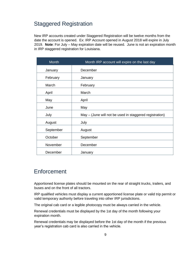# <span id="page-8-0"></span>Staggered Registration

New IRP accounts created under Staggered Registration will be twelve months from the date the account is opened. Ex: IRP Account opened in August 2018 will expire in July 2019. **Note**: For July – May expiration date will be reused. June is not an expiration month in IRP staggered registration for Louisiana.

| <b>Month</b> | Month IRP account will expire on the last day           |
|--------------|---------------------------------------------------------|
| January      | December                                                |
| February     | January                                                 |
| March        | February                                                |
| April        | March                                                   |
| May          | April                                                   |
| June         | May                                                     |
| July         | May – (June will not be used in staggered registration) |
| August       | July                                                    |
| September    | August                                                  |
| October      | September                                               |
|              |                                                         |
| November     | December                                                |
| December     | January                                                 |

# <span id="page-8-1"></span>**Enforcement**

Apportioned license plates should be mounted on the rear of straight trucks, trailers, and buses and on the front of all tractors.

IRP qualified vehicles must display a current apportioned license plate or valid trip permit or valid temporary authority before traveling into other IRP jurisdictions.

The original cab card or a legible photocopy must be always carried in the vehicle.

Renewal credentials must be displayed by the 1st day of the month following your expiration month.

Renewal credentials may be displayed before the 1st day of the month if the previous year's registration cab card is also carried in the vehicle.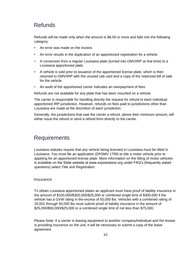# <span id="page-9-0"></span>**Refunds**

Refunds will be made only when the amount is \$6.00 or more and falls into the following category:

- An error was made on the invoice.
- An error results in the duplication of an apportioned registration for a vehicle.
- A conversion from a regular Louisiana plate (turned into OMV/IRP at that time) to a Louisiana apportioned plate.
- A vehicle is sold prior to issuance of the apportioned license plate, which is then returned to OMV/IRP with the unused cab card and a copy of the notarized bill of sale for the vehicle
- An audit of the apportioned carrier indicates an overpayment of fees

Refunds are not available for any plate that has been mounted on a vehicle.

The carrier is responsible for handling directly the request for refund to each individual apportioned IRP jurisdiction. However, refunds on fees paid to jurisdictions other than Louisiana are made at the discretion of each jurisdiction.

Generally, the jurisdictions that owe the carrier a refund, above their minimum amount, will either issue the refund or send a refund form directly to the carrier.

# <span id="page-9-1"></span>**Requirements**

Louisiana statutes require that any vehicle being licensed in Louisiana must be titled in Louisiana. You must file an application (DPSMV 1799) to title a motor vehicle prior to applying for an apportioned license plate. More information on the titling of motor vehicles is available on the State website at www.expresslane.org under FAQ's (frequently asked questions) select Title and Registration.

# <span id="page-9-2"></span>**Insurance**

To obtain Louisiana apportioned plates an applicant must have proof of liability insurance in the amount of \$100,000/\$300,000/\$25,000 or combined single limit of \$300,000 if the vehicle has a GVW rating in the excess of 50,000 lbs. Vehicles with a combined rating of 20,001 through 50,000 lbs must submit proof of liability insurance in the amount of \$25,000/\$50,000/\$25,000 or a combined single limit of not less than \$75,000.

Please Note: If a carrier is leasing equipment to another company/individual and the lessee is providing insurance on the unit, it will be necessary to submit a copy of the lease agreement.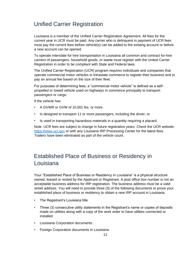# <span id="page-10-0"></span>Unified Carrier Registration

Louisiana is a member of the Unified Carrier Registration Agreement. All fees for the current year in UCR must be paid. Any carrier who is delinquent in payment of UCR fees must pay the current fees before vehicle(s) can be added to the existing account or before a new account can be opened.

To operate Interstate for-hire transportation in Louisiana all common and contract for-hire carriers of passengers, household goods, or waste must register with the United Carrier Registration in order to be compliant with State and Federal laws.

The Unified Carrier Registration (UCR) program requires individuals and companies that operate commercial motor vehicles in Intrastate commerce to register their business and to pay an annual fee based on the size of their fleet.

For purposes of determining fees, a "commercial motor vehicle" is defined as a selfpropelled or towed vehicle used on highways in commerce principally to transport passengers or cargo.

If the vehicle has:

- A GVWR or GVW of 10,001 lbs. or more.
- Is designed to transport 11 or more passengers, including the driver; or
- Is used in transporting hazardous materials in a quantity requiring a placard.

Note: UCR fees are subject to change in future registration years. Check the UCR website: [https://www.ucr.gov](https://www.ucr.gov/) [or](https://www.ucr.gov/) with any Louisiana IRP Processing Center for the latest fees. Trailers have been eliminated as part of the vehicle count.

# <span id="page-10-1"></span>Established Place of Business or Residency in Louisiana

Your "Established Place of Business or Residency in Louisiana" is a physical structure owned, leased or rented by the Applicant or Registrant. A post office box number is not an acceptable business address for IRP registration. The business address must be a valid street address. You will need to provide three (3) of the following documents to prove your established place of business or residency to obtain a new IRP account in Louisiana.

- The Registrant's Louisiana title
- Three (3) consecutive utility statements in the Registrant's name or copies of deposits made on utilities along with a copy of the work order to have utilities connected or installed
- Louisiana Corporation documents
- Foreign Corporation documents in Louisiana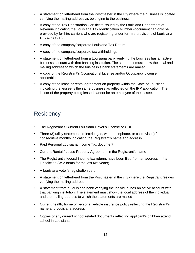- A statement on letterhead from the Postmaster in the city where the business is located verifying the mailing address as belonging to the business
- A copy of the Tax Registration Certificate issued by the Louisiana Department of Revenue indicating the Louisiana Tax Identification Number (document can only be provided by for-hire carriers who are registering under for-hire provisions of Louisiana R.S.47:306.1.)
- A copy of the company/corporate Louisiana Tax Return
- A copy of the company/corporate tax withholdings
- A statement on letterhead from a Louisiana bank verifying the business has an active business account with that banking institution. The statement must show the local and mailing address to which the business's bank statements are mailed
- A copy of the Registrant's Occupational License and/or Occupancy License, if applicable
- A copy of the lease or rental agreement on property within the State of Louisiana indicating the lessee is the same business as reflected on the IRP application. The lessor of the property being leased cannot be an employee of the lessee.

# <span id="page-11-0"></span>**Residency**

- The Registrant's Current Louisiana Driver's License or CDL
- Three (3) utility statements (electric, gas, water, telephone, or cable vison) for consecutive months indicating the Registrant's name and address
- Paid Personal Louisiana Income Tax document
- Current Rental / Lease Property Agreement in the Registrant's name
- The Registrant's federal income tax returns have been filed from an address in that jurisdiction (W-2 forms for the last two years)
- A Louisiana voter's registration card
- A statement on letterhead from the Postmaster in the city where the Registrant resides verifying the mailing address
- A statement from a Louisiana bank verifying the individual has an active account with that banking institution. The statement must show the local address of the individual and the mailing address to which the statements are mailed
- Current health, home or personal vehicle insurance policy reflecting the Registrant's name and Louisiana address
- Copies of any current school related documents reflecting applicant's children attend school in Louisiana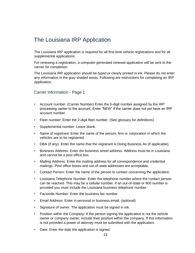# <span id="page-12-0"></span>The Louisiana IRP Application

The Louisiana IRP application is required for all first-time vehicle registrations and for all supplemental applications.

For renewing a registration, a computer-generated renewal application will be sent to the carrier for completion.

The Louisiana IRP application should be typed or clearly printed in ink. Please do not enter any information in the gray shaded areas. Following are instructions for completing an IRP application.

# <span id="page-12-1"></span>Carrier Information - Page 1

- Account number: (Carrier Number) Enter the 5-digit number assigned by the IRP processing center to the account. Enter "NEW" if the carrier does not yet have an IRP account number.
- Fleet number: Enter the 2-digit fleet number. (See glossary for definitions)
- Supplemental number: Leave blank.
- Name of registrant: Enter the name of the person, firm or corporation in which the vehicles are to be registered.
- DBA (if any): Enter the name that the registrant is Doing Business As (if applicable).
- Business Address: Enter the business street address. Address must be in Louisiana and cannot be a post office box.
- Mailing Address: Enter the mailing address for all correspondence and credential mailings. Post office boxes and out-of-state addresses are acceptable.
- Contact Person: Enter the name of the person to contact concerning the application.
- Louisiana Telephone Number: Enter the telephone number where the contact person can be reached. This may be a cellular number. If an out-of-state or 800 number is provided you must include the Louisiana business telephone number.
- Facsimile Number: Enter the business fax number.
- Email Address: Enter in personal or business email. (optional)
- Signature of owner: The application must be signed in ink.
- Position within the Company: If the person signing the application is not the vehicle owner or company owner, include their position within the company. If this information is not provided a power of attorney must be submitted with the application.
- Date: Enter the date the application is signed.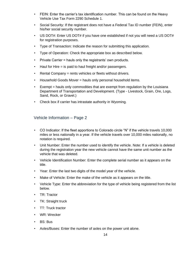- FEIN: Enter the carrier's tax identification number. This can be found on the Heavy Vehicle Use Tax Form 2290 Schedule 1.
- Social Security: If the registrant does not have a Federal Tax ID number (FEIN), enter his/her social security number.
- US DOT#: Enter US DOT# if you have one established if not you will need a US DOT# for registration purposes.
- Type of Transaction: Indicate the reason for submitting this application.
- Type of Operation: Check the appropriate box as described below.
- Private Carrier = hauls only the registrants' own products.
- Haul for Hire = is paid to haul freight and/or passengers.
- Rental Company = rents vehicles or fleets without drivers.
- Household Goods Mover = hauls only personal household items.
- Exempt = hauls only commodities that are exempt from regulation by the Louisiana Department of Transportation and Development. (Type - Livestock, Grain, Ore, Logs, Sand, Rock, or Gravel.)
- Check box if carrier has intrastate authority in Wyoming.

# <span id="page-13-0"></span>Vehicle Information – Page 2

- CO Indicator: If the fleet apportions to Colorado circle "N" if the vehicle travels 10,000 miles or less nationally in a year. If the vehicle travels over 10,000 miles nationally, no notation is required.
- Unit Number: Enter the number used to identify the vehicle. Note: If a vehicle is deleted during the registration year the new vehicle cannot have the same unit number as the vehicle that was deleted.
- Vehicle Identification Number: Enter the complete serial number as it appears on the title.
- Year: Enter the last two digits of the model year of the vehicle.
- Make of Vehicle: Enter the make of the vehicle as it appears on the title.
- Vehicle Type: Enter the abbreviation for the type of vehicle being registered from the list below.
- TR: Tractor
- TK: Straight truck
- TT: Truck tractor
- WR: Wrecker
- BS: Bus
- Axles/Buses: Enter the number of axles on the power unit alone.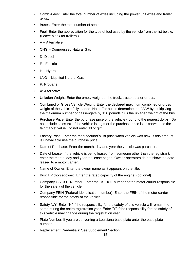- Comb Axles: Enter the total number of axles including the power unit axles and trailer axles.
- Buses: Enter the total number of seats.
- Fuel: Enter the abbreviation for the type of fuel used by the vehicle from the list below. (Leave blank for trailers.)
- $\bullet$  A Alternative
- CNG Compressed Natural Gas
- D: Diesel
- E Electric
- $\cdot$  H Hydro
- LNG Liquified Natural Gas
- P: Propane
- A: Alternative
- Unladen Weight: Enter the empty weight of the truck, tractor, trailer or bus.
- Combined or Gross Vehicle Weight: Enter the declared maximum combined or gross weight of the vehicle fully loaded. Note: For buses determine the GVW by multiplying the maximum number of passengers by 150 pounds plus the unladen weight of the bus.
- Purchase Price: Enter the purchase price of the vehicle (round to the nearest dollar). Do not include sales tax. If the vehicle is a gift or the purchase price is unknown, use the fair market value. Do not enter \$0 or gift.
- Factory Price: Enter the manufacturer's list price when vehicle was new. If this amount is unavailable use the purchase price.
- Date of Purchase: Enter the month, day and year the vehicle was purchase.
- Date of Lease: If the vehicle is being leased from someone other than the registrant, enter the month, day and year the lease began. Owner-operators do not show the date leased to a motor carrier.
- Name of Owner: Enter the owner name as it appears on the title.
- Bus: HP (horsepower): Enter the rated capacity of the engine. (optional)
- Company US DOT Number: Enter the US DOT number of the motor carrier responsible for the safety of the vehicle.
- Company FEIN (Federal Identification number): Enter the FEIN of the motor carrier responsible for the safety of the vehicle.
- Safety N/Y: Enter "N" if the responsibility for the safety of this vehicle will remain the same during the entire registration year. Enter "Y" if the responsibility for the safety of this vehicle may change during the registration year.
- Plate Number: If you are converting a Louisiana base plate enter the base plate number.
- Replacement Credentials: See Supplement Section.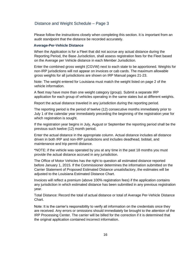# <span id="page-15-0"></span>Distance and Weight Schedule – Page 3

Please follow the instructions closely when completing this section. It is important from an audit standpoint that the distance be recorded accurately.

#### <span id="page-15-1"></span>**Average-Per-Vehicle Distance**

When the Application is for a Fleet that did not accrue any actual distance during the Reporting Period, the Base Jurisdiction, shall assess registration fees for the Fleet based on the Average per Vehicle distance in each Member Jurisdiction.

Enter the combined gross weight (CGVW) next to each state to be apportioned. Weights for non-IRP jurisdictions will not appear on invoices or cab cards. The maximum allowable gross weights for all jurisdictions are shown on IRP Manual pages 21-23.

Note: The weight entered for Louisiana must match the weight listed on page 2 of the vehicle information.

A fleet may have more than one weight category (group). Submit a separate IRP application for each group of vehicles operating in the same states but at different weights.

Report the actual distance traveled in any jurisdiction during the reporting period.

The reporting period is the period of twelve (12) consecutive months immediately prior to July 1 of the calendar year immediately preceding the beginning of the registration year for which registration is sought.

If the registration year begins in July, August or September the reporting period shall be the previous such twelve (12) month period.

Enter the actual distance in the appropriate column. Actual distance includes all distance driven in both IRP and non-IRP jurisdictions and includes deadhead, bobtail, and maintenance and trip permit distance.

\*NOTE: if the vehicle was operated by you at any time in the past 18 months you must provide the actual distance accrued in any jurisdiction.

The Office of Motor Vehicles has the right to question all estimated distance reported before January 1, 2015. If the Commissioner determines the information submitted on the Carrier Statement of Proposed Estimated Distance unsatisfactory, the estimates will be adjusted to the Louisiana Estimated Distance Chart.

Invoices will reflect a premium (above 100% registration fees) if the application contains any jurisdiction in which estimated distance has been submitted in any previous registration year.

Total Distance: Record the total of actual distance or total of Average Per-Vehicle Distance Chart.

Note: It is the carrier's responsibility to verify all information on the credentials once they are received. Any errors or omissions should immediately be brought to the attention of the IRP Processing Center. The carrier will be billed for the correction if it is determined that the original application contained incorrect information.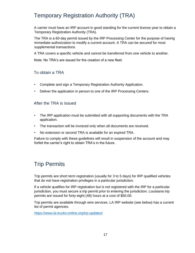# <span id="page-16-0"></span>Temporary Registration Authority (TRA)

A carrier must have an IRP account in good standing for the current license year to obtain a Temporary Registration Authority (TRA).

The TRA is a 60-day permit issued by the IRP Processing Center for the purpose of having immediate authorization to modify a current account. A TRA can be secured for most supplemental transactions.

A TRA covers a specific vehicle and cannot be transferred from one vehicle to another.

Note: No TRA's are issued for the creation of a new fleet.

# <span id="page-16-1"></span>To obtain a TRA

- Complete and sign a Temporary Registration Authority Application.
- Deliver the application in person to one of the IRP Processing Centers.

# <span id="page-16-2"></span>After the TRA is issued

- The IRP application must be submitted with all supporting documents with the TRA application.
- The transaction will be invoiced only when all documents are received.
- No extension or second TRA is available for an expired TRA.

Failure to comply with these guidelines will result in suspension of the account and may forfeit the carrier's right to obtain TRA's in the future.

# <span id="page-16-3"></span>Trip Permits

Trip permits are short term registration (usually for 3 to 5 days) for IRP qualified vehicles that do not have registration privileges in a particular jurisdiction.

If a vehicle qualifies for IRP registration but is not registered with the IRP for a particular jurisdiction, you must secure a trip permit prior to entering the jurisdiction. Louisiana trip permits are issued for forty-eight (48) hours at a cost of \$50.00.

Trip permits are available through wire services. LA IRP website (see below) has a current list of permit agencies.

<https://www.la-trucks-online.org/irp-updates/>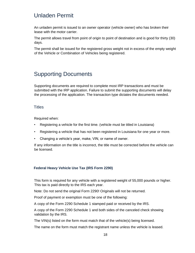# <span id="page-17-0"></span>Unladen Permit

An unladen permit is issued to an owner operator (vehicle owner) who has broken their lease with the motor carrier.

The permit allows travel from point of origin to point of destination and is good for thirty (30) days.

The permit shall be issued for the registered gross weight not in excess of the empty weight of the Vehicle or Combination of Vehicles being registered.

# <span id="page-17-1"></span>Supporting Documents

Supporting documents are required to complete most IRP transactions and must be submitted with the IRP application. Failure to submit the supporting documents will delay the processing of the application. The transaction type dictates the documents needed.

# <span id="page-17-2"></span>**Titles**

Required when:

- Registering a vehicle for the first time. (vehicle must be titled in Louisiana)
- Registering a vehicle that has not been registered in Louisiana for one year or more.
- Changing a vehicle's year, make, VIN, or name of owner.

If any information on the title is incorrect, the title must be corrected before the vehicle can be licensed.

### <span id="page-17-3"></span>**Federal Heavy Vehicle Use Tax (IRS Form 2290)**

This form is required for any vehicle with a registered weight of 55,000 pounds or higher. This tax is paid directly to the IRS each year.

Note: Do not send the original Form 2290! Originals will not be returned.

Proof of payment or exemption must be one of the following:

A copy of the Form 2290 Schedule 1 stamped paid or received by the IRS.

A copy of the Form 2290 Schedule 1 and both sides of the canceled check showing validation by the IRS.

The VIN(s) listed on the form must match that of the vehicle(s) being licensed.

The name on the form must match the registrant name unless the vehicle is leased.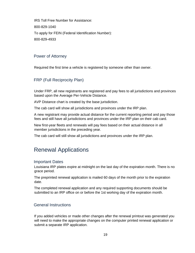IRS Toll Free Number for Assistance: 800-829-1040 To apply for FEIN (Federal Identification Number): 800-829-4933

# <span id="page-18-0"></span>Power of Attorney

Required the first time a vehicle is registered by someone other than owner.

# <span id="page-18-1"></span>FRP (Full Reciprocity Plan)

Under FRP, all new registrants are registered and pay fees to all jurisdictions and provinces based upon the Average Per-Vehicle Distance.

AVP Distance chart is created by the base jurisdiction.

The cab card will show all jurisdictions and provinces under the IRP plan.

A new registrant may provide actual distance for the current reporting period and pay those fees and still have all jurisdictions and provinces under the IRP plan on their cab card.

New first-year fleets and renewals will pay fees based on their actual distance in all member jurisdictions in the preceding year.

The cab card will still show all jurisdictions and provinces under the IRP plan.

# <span id="page-18-2"></span>Renewal Applications

# <span id="page-18-3"></span>Important Dates

Louisiana IRP plates expire at midnight on the last day of the expiration month. There is no grace period.

The preprinted renewal application is mailed 60 days of the month prior to the expiration date.

The completed renewal application and any required supporting documents should be submitted to an IRP office on or before the 1st working day of the expiration month.

# <span id="page-18-4"></span>General Instructions

If you added vehicles or made other changes after the renewal printout was generated you will need to make the appropriate changes on the computer printed renewal application or submit a separate IRP application.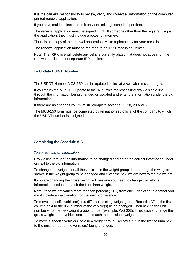It is the carrier's responsibility to review, verify and correct all information on the computer printed renewal application.

If you have multiple fleets, submit only one mileage schedule per fleet.

The renewal application must be signed in ink. If someone other than the registrant signs the application, they must include a power of attorney.

There is one copy of the renewal application. Make a photocopy for your records.

The renewal application must be returned to an IRP Processing Center.

Note: The IRP office will delete any vehicle currently plated that does not appear on the renewal application or separate IRP application.

# <span id="page-19-0"></span>**To Update USDOT Number**

The USDOT Number MCS-150 can be updated online at www.safer.fmcsa.dot.gov.

If you return the MCS-150 update to the IRP Office for processing draw a single line through the information being changed or updated and enter the information under the old information.

If there are no changes you must still complete sections 22, 28, 29 and 30.

The MCS-150 form must be completed by an authorized official of the company to which the USDOT number is assigned.

# <span id="page-19-1"></span>**Completing the Schedule A/C**

### *To correct carrier information*

Draw a line through the information to be changed and enter the correct information under or next to the old information.

To change the weights for all the vehicles in the weight group: Line through the weights shown in the weight group to be changed and enter the new weight next to the old weight.

If you are changing the gross weight in Louisiana you need to change the vehicle information section to match the Louisiana weight.

Note: If the weight varies more than ten percent (10%) from one jurisdiction to another you must include an explanation for the weight difference.

To move a specific vehicle(s) to a different existing weight group: Record a "C" in the first column next to the unit number of the vehicle(s) being changed. Then next to the unit number write the new weight group number (example: WG 003). If necessary, change the gross weight in the vehicle section to match the Louisiana weight.

To move a specific vehicle(s) to a new weight group: Record a "C" in the first column next to the unit number of the vehicle(s) being changed.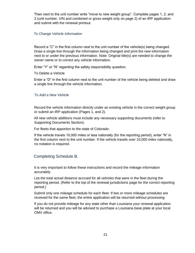Then next to the unit number write "move to new weight group". Complete pages 1, 2, and 3 (unit number, VIN and combined or gross weight only on page 2) of an IRP application and submit with the renewal printout.

#### *To Change Vehicle Information*

Record a "C" in the first column next to the unit number of the vehicle(s) being changed. Draw a single line through the information being changed and print the new information next to or under the previous information. Note: Original title(s) are needed to change the owner name or to correct any vehicle information.

Enter "Y" or "N" regarding the safety responsibility question.

To Delete a Vehicle

Enter a "D" in the first column next to the unit number of the vehicle being deleted and draw a single line through the vehicle information.

#### *To Add a New Vehicle*

Record the vehicle information directly under an existing vehicle in the correct weight group or submit an IRP application (Pages 1, and 2).

All new vehicle additions must include any necessary supporting documents (refer to Supporting Documents Section).

For fleets that apportion to the state of Colorado:

If the vehicle travels 10,000 miles or less nationally (for the reporting period), enter "N" in the first column next to the unit number. If the vehicle travels over 10,000 miles nationally, no notation is required.

# <span id="page-20-0"></span>Completing Schedule B.

It is very important to follow these instructions and record the mileage information accurately.

List the total actual distance accrued for all vehicles that were in the fleet during the reporting period. (Refer to the top of the renewal jurisdictions page for the correct reporting period.)

Submit only one mileage schedule for each fleet. If two or more mileage schedules are received for the same fleet, the entire application will be returned without processing.

If you do not provide mileage for any state other than Louisiana your renewal application will be returned and you will be advised to purchase a Louisiana base plate at your local OMV office.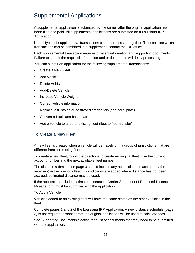# <span id="page-21-0"></span>Supplemental Applications

A supplemental application is submitted by the carrier after the original application has been filed and paid. All supplemental applications are submitted on a Louisiana IRP Application.

Not all types of supplemental transactions can be processed together. To determine which transactions can be combined in a supplement, contact the IRP office.

Each supplemental transaction requires different information and supporting documents. Failure to submit the required information and or documents will delay processing.

You can submit an application for the following supplemental transactions:

- Create a New Fleet
- Add Vehicle
- Delete Vehicle
- Add/Delete Vehicle
- Increase Vehicle Weight
- Correct vehicle information
- Replace lost, stolen or destroyed credentials (cab card, plate)
- Convert a Louisiana base plate
- Add a vehicle to another existing fleet (fleet to fleet transfer)

# <span id="page-21-1"></span>To Create a New Fleet

A new fleet is created when a vehicle will be traveling in a group of jurisdictions that are different from an existing fleet.

To create a new fleet, follow the directions to create an original fleet. Use the current account number and the next available fleet number.

The distance submitted on page 3 should include any actual distance accrued by the vehicle(s) in the previous fleet. If jurisdictions are added where distance has not been accrued, estimated distance may be used.

If the application includes estimated distance a Carrier Statement of Proposed Distance Mileage form must be submitted with the application.

#### To Add a Vehicle

Vehicles added to an existing fleet will have the same states as the other vehicles in the fleet.

Complete pages 1 and 2 of the Louisiana IRP Application. A new distance schedule (page 3) is not required; distance from the original application will be used to calculate fees.

See Supporting Documents Section for a list of documents that may need to be submitted with the application.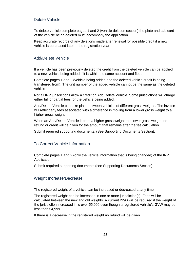# <span id="page-22-0"></span>Delete Vehicle

To delete vehicle complete pages 1 and 2 (vehicle deletion section) the plate and cab card of the vehicle being deleted must accompany the application.

Keep accurate records of any deletions made after renewal for possible credit if a new vehicle is purchased later in the registration year.

# <span id="page-22-1"></span>Add/Delete Vehicle

If a vehicle has been previously deleted the credit from the deleted vehicle can be applied to a new vehicle being added if it is within the same account and fleet.

Complete pages 1 and 2 (vehicle being added and the deleted vehicle credit is being transferred from). The unit number of the added vehicle cannot be the same as the deleted vehicle

Not all IRP jurisdictions allow a credit on Add/Delete Vehicle. Some jurisdictions will charge either full or partial fees for the vehicle being added.

Add/Delete Vehicle can take place between vehicles of different gross weights. The invoice will reflect any fees associated with a difference in moving from a lower gross weight to a higher gross weight.

When an Add/Delete Vehicle is from a higher gross weight to a lower gross weight, no refund or credit will be given for the amount that remains after the fee calculation.

Submit required supporting documents. (See Supporting Documents Section).

# <span id="page-22-2"></span>To Correct Vehicle Information

Complete pages 1 and 2 (only the vehicle information that is being changed) of the IRP Application.

Submit required supporting documents (see Supporting Documents Section).

# <span id="page-22-3"></span>Weight Increase/Decrease

The registered weight of a vehicle can be increased or decreased at any time.

The registered weight can be increased in one or more jurisdiction(s). Fees will be calculated between the new and old weights. A current 2290 will be required if the weight of the jurisdiction increased in is over 55,000 even though a registered vehicle's GVW may be less than 54,999.

If there is a decrease in the registered weight no refund will be given.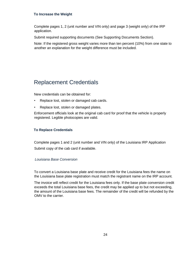# <span id="page-23-0"></span>**To Increase the Weight**

Complete pages 1, 2 (unit number and VIN only) and page 3 (weight only) of the IRP application.

Submit required supporting documents (See Supporting Documents Section).

Note: If the registered gross weight varies more than ten percent (10%) from one state to another an explanation for the weight difference must be included.

# <span id="page-23-1"></span>Replacement Credentials

New credentials can be obtained for:

- Replace lost, stolen or damaged cab cards.
- Replace lost, stolen or damaged plates.

Enforcement officials look at the original cab card for proof that the vehicle is properly registered. Legible photocopies are valid.

# <span id="page-23-2"></span>**To Replace Credentials**

Complete pages 1 and 2 (unit number and VIN only) of the Louisiana IRP Application Submit copy of the cab card if available.

#### *Louisiana Base Conversion*

To convert a Louisiana base plate and receive credit for the Louisiana fees the name on the Louisiana base plate registration must match the registrant name on the IRP account.

The invoice will reflect credit for the Louisiana fees only. If the base plate conversion credit exceeds the total Louisiana base fees, the credit may be applied up to but not exceeding, the amount of the Louisiana base fees. The remainder of the credit will be refunded by the OMV to the carrier.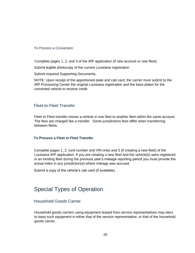#### *To Process a Conversion*

Complete pages 1, 2, and 3 of the IRP application (if new account or new fleet).

Submit legible photocopy of the current Louisiana registration.

Submit required Supporting Documents.

NOTE: Upon receipt of the apportioned plate and cab card, the carrier must submit to the IRP Processing Center the original Louisiana registration and the base plates for the converted vehicle to receive credit.

# <span id="page-24-0"></span>Fleet-to-Fleet Transfer

Fleet to Fleet transfer moves a vehicle in one fleet to another fleet within the same account. The fees are charged like a transfer. Some jurisdictions fees differ when transferring between fleets.

### <span id="page-24-1"></span>**To Process a Fleet to Fleet Transfer**

Complete pages 1, 2, (unit number and VIN only) and 3 (if creating a new fleet) of the Louisiana IRP application. If you are creating a new fleet and the vehicle(s) were registered in an existing fleet during the previous year's mileage reporting period you must provide the actual miles in any jurisdiction(s) where mileage was accrued.

Submit a copy of the vehicle's cab card (if available).

# <span id="page-24-2"></span>Special Types of Operation

# <span id="page-24-3"></span>Household Goods Carrier

Household goods carriers using equipment leased from service representatives may elect to base such equipment in either that of the service representative, or that of the household goods carrier.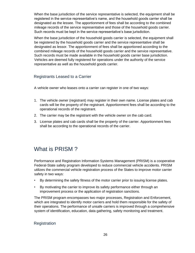When the base jurisdiction of the service representative is selected, the equipment shall be registered in the service representative's name, and the household goods carrier shall be designated as the lessee. The apportionment of fees shall be according to the combined mileage records of the service representative and those of the household goods carrier. Such records must be kept in the service representative's base jurisdiction.

When the base jurisdiction of the household goods carrier is selected, the equipment shall be registered by the household goods carrier and the service representative shall be designated as lessor. The apportionment of fees shall be apportioned according to the combined mileage records of the household goods carrier and the service representative. Such records must be made available in the household goods carrier base jurisdiction. Vehicles are deemed fully registered for operations under the authority of the service representative as well as the household goods carrier.

# <span id="page-25-0"></span>Registrants Leased to a Carrier

A vehicle owner who leases onto a carrier can register in one of two ways:

- 1. The vehicle owner (registrant) may register in their own name. License plates and cab cards will be the property of the registrant. Apportionment fees shall be according to the operational records of the registrant.
- 2. The carrier may be the registrant with the vehicle owner on the cab card.
- 3. License plates and cab cards shall be the property of the carrier. Apportionment fees shall be according to the operational records of the carrier.

# <span id="page-25-1"></span>What is PRISM ?

Performance and Registration Information Systems Management (PRISM) is a cooperative Federal-State safety program developed to reduce commercial vehicle accidents. PRISM utilizes the commercial vehicle registration process of the States to improve motor carrier safety in two ways:

- By determining the safety fitness of the motor carrier prior to issuing license plates.
- By motivating the carrier to improve its safety performance either through an improvement process or the application of registration sanctions.

The PRISM program encompasses two major processes, Registration and Enforcement, which are integrated to identify motor carriers and hold them responsible for the safety of their operations. The performance of unsafe carriers is improved through a comprehensive system of identification, education, data gathering, safety monitoring and treatment.

### <span id="page-25-2"></span>**Registration**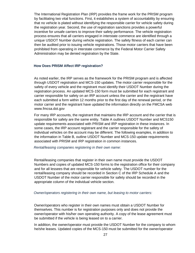The International Registration Plan (IRP) provides the frame work for the PRISM program by facilitating two vital functions. First, it establishes a system of accountability by ensuring that no vehicle is plated without identifying the responsible carrier for vehicle safety during the registration year. Second, the use of registration sanctions provides a powerful incentive for unsafe carriers to improve their safety performance. The vehicle registration process ensures that all carriers engaged in interstate commerce are identified through a unique USDOT Number during vehicle registration. The safety fitness of each carrier can then be audited prior to issuing vehicle registrations. Those motor carriers that have been prohibited from operating in interstate commerce by the Federal Motor Carrier Safety Administration may be denied registration by the State.

#### <span id="page-26-0"></span>**How Does PRISM Affect IRP registration?**

As noted earlier, the IRP serves as the framework for the PRISM program and is affected through USDOT registration and MCS-150 updates. The motor carrier responsible for the safety of every vehicle and the registrant must identify their USDOT Number during the registration process. An updated MCS-150 form must be submitted for each registrant and carrier responsible for safety on an IRP account unless the carrier and the registrant have each submitted a form within 12 months prior to the first day of the renewal period, or the motor carrier and the registrant have updated the information directly on the FMCSA web www.fmcsa.dot.gov

For many IRP accounts, the registrant that maintains the IRP account and the carrier that is responsible for safety are the same entity. Table A outlines USDOT Number and MCS150 update requirements associated with PRISM and IRP registration in these instances. In some cases, the IRP account registrant and the carrier responsible for the safety of individual vehicles on the account may be different. The following examples, in addition to the information in Table B, outline USDOT Number and MCS-150 update requirements associated with PRISM and IRP registration in common instances.

#### *Rental/leasing companies registering in their own name:*

Rental/leasing companies that register in their own name must provide the USDOT Numbers and copies of updated MCS-150 forms to the registration office for their company and for all lessees that are responsible for vehicle safety. The USDOT number for the rental/leasing company should be recorded in Section C of the IRP Schedule A and the USDOT Number of the motor carrier responsible for safety should be recorded in the appropriate column of the individual vehicle section.

#### *Owner/operators registering in their own name, but leasing to motor carriers:*

Owner/operators who register in their own names must obtain a USDOT Number for themselves. This number is for registration purposes only and does not provide the owner/operator with his/her own operating authority. A copy of the lease agreement must be submitted if the vehicle is being leased on to a carrier.

In addition, the owner/operator must provide the USDOT Number for the company to whom he/she leases. Updated copies of the MCS-150 must be submitted for the owner/operator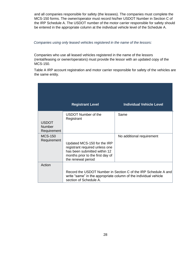and all companies responsible for safety (the lessees). The companies must complete the MCS-150 forms. The owner/operator must record his/her USDOT Number in Section C of the IRP Schedule A. The USDOT number of the motor carrier responsible for safety should be entered in the appropriate column at the individual vehicle level of the Schedule A.

#### *Companies using only leased vehicles registered in the name of the lessors:*

Companies who use all leased vehicles registered in the name of the lessors (rental/leasing or owner/operators) must provide the lessor with an updated copy of the MCS-150.

Table A IRP account registration and motor carrier responsible for safety of the vehicles are the same entity.

|                                              | <b>Registrant Level</b>                                                                                                                                 | <b>Individual Vehicle Level</b>                                |
|----------------------------------------------|---------------------------------------------------------------------------------------------------------------------------------------------------------|----------------------------------------------------------------|
| <b>USDOT</b><br><b>Number</b><br>Requirement | <b>USDOT Number of the</b><br>Registrant                                                                                                                | Same                                                           |
| <b>MCS-150</b><br>Requirement                | Updated MCS-150 for the IRP<br>registrant required unless one<br>has been submitted within 12<br>months prior to the first day of<br>the renewal period | No additional requirement                                      |
| Action                                       | write "same" in the appropriate column of the individual vehicle<br>section of Schedule A.                                                              | Record the USDOT Number in Section C of the IRP Schedule A and |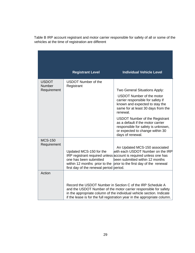|                                       | <b>Registrant Level</b>                                                                                                       | <b>Individual Vehicle Level</b>                                                                                                                                                                                                                                                      |
|---------------------------------------|-------------------------------------------------------------------------------------------------------------------------------|--------------------------------------------------------------------------------------------------------------------------------------------------------------------------------------------------------------------------------------------------------------------------------------|
| <b>USDOT</b><br>Number<br>Requirement | <b>USDOT Number of the</b><br>Registrant                                                                                      | Two General Situations Apply:<br><b>USDOT Number of the motor</b><br>carrier responsible for safety if<br>known and expected to stay the<br>same for at least 30 days from the<br>renewal.                                                                                           |
|                                       |                                                                                                                               | <b>USDOT Number of the Registrant</b><br>as a default if the motor carrier<br>responsible for safety is unknown,<br>or expected to change within 30<br>days of renewal.                                                                                                              |
| <b>MCS-150</b><br>Requirement         | Updated MCS-150 for the<br>one has been submitted<br>within 12 months prior to the<br>first day of the renewal period period. | An Updated MCS-150 associated<br>with each USDOT Number on the IRP<br>IRP registrant required unless account is required unless one has<br>been submitted within 12 months<br>prior to the first day of the renewal                                                                  |
| Action                                |                                                                                                                               | Record the USDOT Number in Section C of the IRP Schedule A<br>and the USDOT Number of the motor carrier responsible for safety<br>in the appropriate column of the individual vehicle section. Indicate<br>if the lease is for the full registration year in the appropriate column. |

Table B IRP account registrant and motor carrier responsible for safety of all or some of the vehicles at the time of registration are different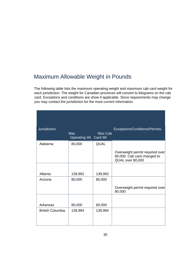# <span id="page-29-0"></span>Maximum Allowable Weight in Pounds

The following table lists the maximum operating weight and maximum cab card weight for each jurisdiction. The weight for Canadian provinces will convert to kilograms on the cab card. Exceptions and conditions are show if applicable. Since requirements may change you may contact the jurisdiction for the most current information.

| <b>Jurisdiction</b>     | <b>Max</b><br>Operating Wt Card Wt | Max Cab     | Exceptions/Conditions/Permits                                                      |
|-------------------------|------------------------------------|-------------|------------------------------------------------------------------------------------|
| Alabama                 | 80,000                             | <b>QUAL</b> |                                                                                    |
|                         |                                    |             | Overweight permit required over<br>80,000. Cab card changed to<br>QUAL over 80,000 |
|                         |                                    |             |                                                                                    |
| Alberta                 | 139,992                            | 139,992     |                                                                                    |
| Arizona                 | 80,000                             | 80,000      |                                                                                    |
|                         |                                    |             | Overweight permit required over<br>80,000                                          |
|                         |                                    |             |                                                                                    |
| Arkansas                | 80,000                             | 80,000      |                                                                                    |
| <b>British Columbia</b> | 139,994                            | 139,994     |                                                                                    |
|                         |                                    |             |                                                                                    |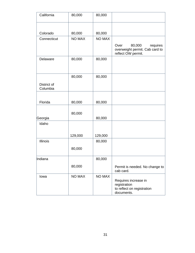| California              | 80,000        | 80,000        |                                                                                    |
|-------------------------|---------------|---------------|------------------------------------------------------------------------------------|
|                         |               |               |                                                                                    |
| Colorado                | 80,000        | 80,000        |                                                                                    |
| Connecticut             | <b>NO MAX</b> | <b>NO MAX</b> |                                                                                    |
|                         |               |               | 80,000<br>Over<br>requires<br>overweight permit. Cab card to<br>reflect OW permit. |
| Delaware                | 80,000        | 80,000        |                                                                                    |
| District of<br>Columbia | 80,000        | 80,000        |                                                                                    |
|                         |               |               |                                                                                    |
| Florida                 | 80,000        | 80,000        |                                                                                    |
| Georgia                 | 80,000        | 80,000        |                                                                                    |
| Idaho                   |               |               |                                                                                    |
|                         | 129,000       | 129,000       |                                                                                    |
| <b>Illinois</b>         | 80,000        | 80,000        |                                                                                    |
| Indiana                 |               | 80,000        |                                                                                    |
|                         | 80,000        |               | Permit is needed. No change to<br>cab card.                                        |
| lowa                    | <b>NO MAX</b> | <b>NO MAX</b> | Requires increase in<br>registration<br>to reflect on registration<br>documents.   |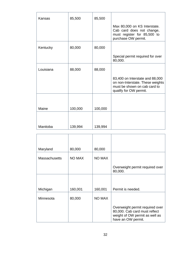| Kansas    | 85,500  | 85,500  |                                                                                                                               |
|-----------|---------|---------|-------------------------------------------------------------------------------------------------------------------------------|
|           |         |         | Max 80,000 on KS Interstate.<br>Cab card does not change,<br>must register for 85,500 to<br>purchase OW permit.               |
| Kentucky  | 80,000  | 80,000  |                                                                                                                               |
|           |         |         | Special permit required for over<br>80,000.                                                                                   |
| Louisiana | 88,000  | 88,000  |                                                                                                                               |
|           |         |         | 83,400 on Interstate and 88,000<br>on non-Interstate. These weights<br>must be shown on cab card to<br>qualify for OW permit. |
|           |         |         |                                                                                                                               |
| Maine     | 100,000 | 100,000 |                                                                                                                               |
|           |         |         |                                                                                                                               |
| Manitoba  | 139,994 | 139,994 |                                                                                                                               |

| Maryland             | 80,000        | 80,000        |                                                                                                                          |
|----------------------|---------------|---------------|--------------------------------------------------------------------------------------------------------------------------|
| <b>Massachusetts</b> | <b>NO MAX</b> | <b>NO MAX</b> |                                                                                                                          |
|                      |               |               | Overweight permit required over<br>80,000.                                                                               |
|                      |               |               |                                                                                                                          |
| Michigan             | 160,001       | 160,001       | Permit is needed.                                                                                                        |
| Minnesota            | 80,000        | <b>NO MAX</b> |                                                                                                                          |
|                      |               |               | Overweight permit required over<br>80,000. Cab card must reflect<br>weight of OW permit as well as<br>have an OW permit. |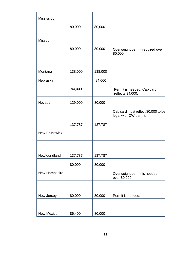| Mississippi          |         |         |                                                             |
|----------------------|---------|---------|-------------------------------------------------------------|
|                      | 80,000  | 80,000  |                                                             |
| Missouri             |         |         |                                                             |
|                      | 80,000  | 80,000  | Overweight permit required over<br>80,000.                  |
|                      |         |         |                                                             |
| Montana              | 138,000 | 138,000 |                                                             |
| Nebraska             |         | 94,000  |                                                             |
|                      | 94,000  |         | Permit is needed. Cab card<br>reflects 94,000.              |
| Nevada               | 129,000 | 80,000  |                                                             |
|                      |         |         | Cab card must reflect 80,000 to be<br>legal with OW permit. |
|                      | 137,787 | 137,787 |                                                             |
| <b>New Brunswick</b> |         |         |                                                             |
|                      |         |         |                                                             |
| Newfoundland         | 137,787 | 137,787 |                                                             |
|                      | 80,000  | 80,000  |                                                             |
| New Hampshire        |         |         | Overweight permit is needed<br>over 80,000.                 |
|                      |         |         |                                                             |
| New Jersey           | 80,000  | 80,000  | Permit is needed.                                           |
|                      |         |         |                                                             |
| New Mexico           | 86,400  | 80,000  |                                                             |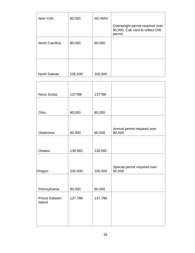| New York       | 80,000  | <b>NO MAX</b> |                                                                              |
|----------------|---------|---------------|------------------------------------------------------------------------------|
|                |         |               | Overweight permit required over<br>80,000. Cab card to reflect OW<br>permit. |
| North Carolina | 80,000  | 80,000        |                                                                              |
| North Dakota   | 105,500 | 105,500       |                                                                              |

| Nova Scotia                    | 137788  | 137788  |                                         |
|--------------------------------|---------|---------|-----------------------------------------|
|                                |         |         |                                         |
| Ohio                           | 80,000  | 80,000  |                                         |
|                                |         |         |                                         |
| Oklahoma                       | 90,000  | 90,000  | Annual permit required over<br>80,000.  |
|                                |         |         |                                         |
| Ontario                        | 139,992 | 139,992 |                                         |
|                                |         |         |                                         |
| Oregon                         | 105,500 | 105,500 | Special permit required over<br>80,000. |
|                                |         |         |                                         |
| Pennsylvania                   | 80,000  | 80,000  |                                         |
| <b>Prince Edward</b><br>Island | 137,788 | 137,788 |                                         |
|                                |         |         |                                         |
|                                |         |         |                                         |
|                                |         |         |                                         |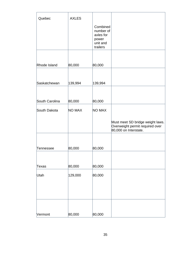| Quebec         | <b>AXLES</b> |                                                                     |                                                                                              |
|----------------|--------------|---------------------------------------------------------------------|----------------------------------------------------------------------------------------------|
|                |              | Combined<br>number of<br>axles for<br>power<br>unit and<br>trailers |                                                                                              |
|                |              |                                                                     |                                                                                              |
| Rhode Island   | 80,000       | 80,000                                                              |                                                                                              |
|                |              |                                                                     |                                                                                              |
| Saskatchewan   | 139,994      | 139,994                                                             |                                                                                              |
|                |              |                                                                     |                                                                                              |
| South Carolina | 80,000       | 80,000                                                              |                                                                                              |
| South Dakota   | NO MAX       | NO MAX                                                              |                                                                                              |
|                |              |                                                                     | Must meet SD bridge weight laws.<br>Overweight permit required over<br>80,000 on Interstate. |
|                |              |                                                                     |                                                                                              |
| Tennessee      | 80,000       | 80,000                                                              |                                                                                              |
|                |              |                                                                     |                                                                                              |
| Texas          | 80,000       | 80,000                                                              |                                                                                              |
| Utah           | 129,000      | 80,000                                                              |                                                                                              |
|                |              |                                                                     |                                                                                              |
|                |              |                                                                     |                                                                                              |
|                |              |                                                                     |                                                                                              |
| Vermont        | 80,000       | 80,000                                                              |                                                                                              |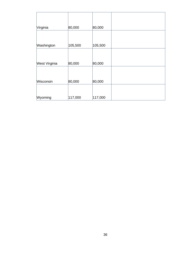<span id="page-35-0"></span>

| Virginia             | 80,000  | 80,000  |  |
|----------------------|---------|---------|--|
|                      |         |         |  |
| Washington           | 105,500 | 105,500 |  |
|                      |         |         |  |
| <b>West Virginia</b> | 80,000  | 80,000  |  |
|                      |         |         |  |
| Wisconsin            | 80,000  | 80,000  |  |
|                      |         |         |  |
| Wyoming              | 117,000 | 117,000 |  |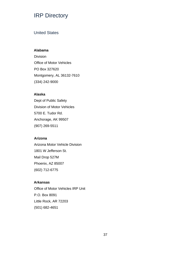# IRP Directory

# <span id="page-36-0"></span>United States

### **Alabama**

Division Office of Motor Vehicles PO Box 327620 Montgomery, AL 36132-7610 (334) 242-9000

### **Alaska**

Dept of Public Safety Division of Motor Vehicles 5700 E. Tudor Rd. Anchorage, AK 99507 (907) 269-5511

#### **Arizona**

Arizona Motor Vehicle Division 1801 W Jefferson St. Mail Drop 527M Phoenix, AZ 85007 (602) 712-6775

#### **Arkansas**

Office of Motor Vehicles IRP Unit P.O. Box 8091 Little Rock, AR 72203 (501) 682-4651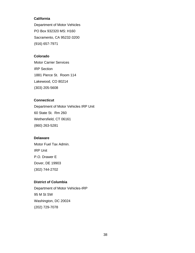#### **California**

Department of Motor Vehicles PO Box 932320 MS: H160 Sacramento, CA 95232-3200 (916) 657-7971

# **Colorado**

Motor Carrier Services IRP Section 1881 Pierce St. Room 114 Lakewood, CO 80214 (303) 205-5608

### **Connecticut**

Department of Motor Vehicles IRP Unit 60 State St. Rm 260 Wethersfield, CT 06161 (860) 263-5281

### **Delaware**

Motor Fuel Tax Admin. IRP Unit P.O. Drawer E Dover, DE 19903 (302) 744-2702

# **District of Columbia**

Department of Motor Vehicles-IRP 95 M St SW Washington, DC 20024 (202) 729-7078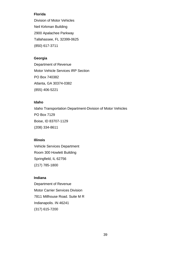### **Florida**

Division of Motor Vehicles Neil Kirkman Building 2900 Apalachee Parkway Tallahassee, FL 32399-0625 (850) 617-3711

# **Georgia**

Department of Revenue Motor Vehicle Services IRP Section PO Box 740382 Atlanta, GA 30374-0382 (855) 406-5221

### **Idaho**

Idaho Transportation Department-Division of Motor Vehicles PO Box 7129 Boise, ID 83707-1129 (208) 334-8611

#### **Illinois**

Vehicle Services Department Room 300 Howlett Building Springfield, IL 62756 (217) 785-1800

### **Indiana**

Department of Revenue Motor Carrier Services Division 7811 Millhouse Road. Suite M R Indianapolis. IN 46241 (317) 615-7200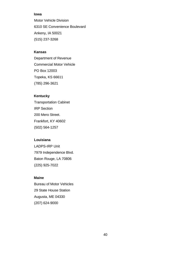### **Iowa**

Motor Vehicle Division 6310 SE Convenience Boulevard Ankeny, IA 50021 (515) 237-3268

# **Kansas**

Department of Revenue Commercial Motor Vehicle PO Box 12003 Topeka, KS 66611 (785) 296-3621

# **Kentucky**

Transportation Cabinet IRP Section 200 Mero Street. Frankfort, KY 40602 (502) 564-1257

### **Louisiana**

LADPS-IRP Unit 7979 Independence Blvd. Baton Rouge, LA 70806 (225) 925-7022

# **Maine**

Bureau of Motor Vehicles 29 State House Station Augusta, ME 04330 (207) 624-9000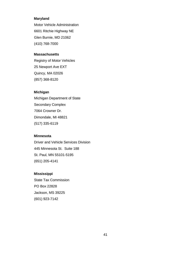#### **Maryland**

Motor Vehicle Administration 6601 Ritchie Highway NE Glen Burnie, MD 21062 (410) 768-7000

#### **Massachusetts**

Registry of Motor Vehicles 25 Newport Ave EXT Quincy, MA 02026 (857) 368-8120

# **Michigan**

Michigan Department of State Secondary Complex 7064 Crowner Dr. Dimondale, MI 48821 (517) 335-6119

#### **Minnesota**

Driver and Vehicle Services Division 445 Minnesota St. Suite 188 St. Paul, MN 55101-5195 (651) 205-4141

#### **Mississippi**

State Tax Commission PO Box 22828 Jackson, MS 39225 (601) 923-7142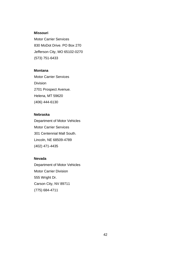#### **Missouri**

Motor Carrier Services 830 MoDot Drive. PO Box 270 Jefferson City, MO 65102-0270 (573) 751-6433

### **Montana**

Motor Carrier Services Division 2701 Prospect Avenue. Helena, MT 59620 (406) 444-6130

# **Nebraska**

Department of Motor Vehicles Motor Carrier Services 301 Centennial Mall South. Lincoln, NE 68509-4789 (402) 471-4435

# **Nevada**

Department of Motor Vehicles Motor Carrier Division 555 Wright Dr. Carson City, NV 89711 (775) 684-4711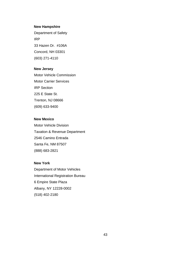#### **New Hampshire**

Department of Safety IRP 33 Hazen Dr. #106A Concord, NH 03301 (603) 271-4110

### **New Jersey**

Motor Vehicle Commission Motor Carrier Services IRP Section 225 E State St. Trenton, NJ 08666 (609) 633-9400

### **New Mexico**

Motor Vehicle Division Taxation & Revenue Department 2546 Camino Entrada Santa Fe, NM 87507 (888) 683-2821

#### **New York**

Department of Motor Vehicles International Registration Bureau 6 Empire State Plaza Albany, NY 12228-0002 (518) 402-2180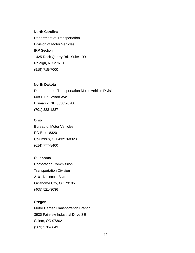### **North Carolina**

Department of Transportation Division of Motor Vehicles IRP Section 1425 Rock Quarry Rd. Suite 100 Raleigh, NC 27610 (919) 715-7000

### **North Dakota**

Department of Transportation Motor Vehicle Division 608 E Boulevard Ave. Bismarck, ND 58505-0780 (701) 328-1287

### **Ohio**

Bureau of Motor Vehicles PO Box 18320 Columbus, OH 43218-0320 (614) 777-8400

### **Oklahoma**

Corporation Commission Transportation Division 2101 N Lincoln Blvd. Oklahoma City, OK 73105 (405) 521-3036

#### **Oregon**

Motor Carrier Transportation Branch 3930 Fairview Industrial Drive SE Salem, OR 97302 (503) 378-6643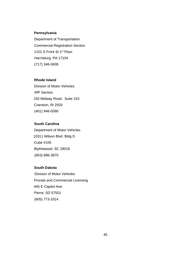#### **Pennsylvania**

Department of Transportation Commercial Registration Section 1101 S Front St 1<sup>st</sup> Floor. Harrisburg, PA 17104 (717) 346-0608

# **Rhode Island**

Division of Motor Vehicles IRP Section 150 Midway Road. Suite 153 Cranston, RI 2920 (401) 946-0090

### **South Carolina**

Department of Motor Vehicles 10311 Wilson Blvd. Bldg D Cube #105 Blythewood, SC 29016 (803) 896-3870

#### **South Dakota**

 Division of Motor Vehicles Prorate and Commercial Licensing 445 E Capitol Ave. Pierre, SD 57501 (605) 773-3314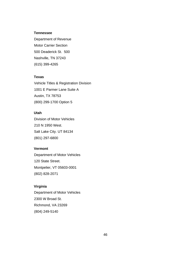#### **Tennessee**

Department of Revenue Motor Carrier Section 500 Deaderick St. 500 Nashville, TN 37243 (615) 399-4265

#### **Texas**

Vehicle Titles & Registration Division 1001 E Parmer Lane Suite A Austin, TX 78753 (800) 299-1700 Option 5

# **Utah**

Division of Motor Vehicles 210 N 1950 West. Salt Lake City. UT 84134 (801) 297-6800

### **Vermont**

Department of Motor Vehicles 120 State Street. Montpelier, VT 05603-0001 (802) 828-2071

### **Virginia**

Department of Motor Vehicles 2300 W Broad St. Richmond, VA 23269 (804) 249-5140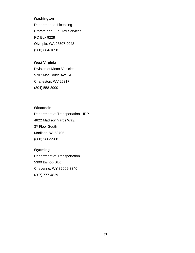# **Washington**

Department of Licensing Prorate and Fuel Tax Services PO Box 9228 Olympia, WA 98507-9048 (360) 664-1858

# **West Virginia**

Division of Motor Vehicles 5707 MacCorkle Ave SE Charleston, WV 25317 (304) 558-3900

# **Wisconsin**

Department of Transportation - IRP 4822 Madison Yards Way. 3<sup>rd</sup> Floor South Madison, WI 53705 (608) 266-9900

# **Wyoming**

Department of Transportation 5300 Bishop Blvd. Cheyenne, WY 82009-3340 (307) 777-4829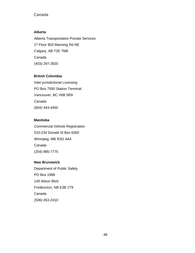# <span id="page-47-0"></span>Canada

### **Alberta**

Alberta Transportation Prorate Services 1<sup>st</sup> Floor 803 Manning Rd NE Calgary, AB T2E 7M8 Canada (403) 297-2920

### **British Columbia**

Inter-jurisdictional Licensing PO Box 7500 Station Terminal Vancouver, BC V6B 5R9 Canada (604) 443-4450

### **Manitoba**

Commercial Vehicle Registration 510-234 Donald St Box 6300 Winnipeg, MB R3G 4A4 Canada (204) 985-7775

### **New Brunswick**

Department of Public Safety PO Box 1998 140 Alison Blvd. Fredericton, NB E3B 1T9 Canada (506) 453-2410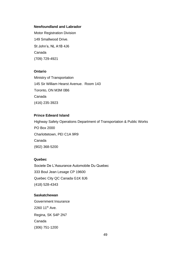#### **Newfoundland and Labrador**

Motor Registration Division 149 Smallwood Drive. St John's, NL A1B 4J6 Canada (709) 729-4921

### **Ontario**

Ministry of Transportation 145 Sir William Hearst Avenue. Room 143 Toronto, ON M3M 0B6 Canada (416) 235-3923

### **Prince Edward Island**

Highway Safety Operations Department of Transportation & Public Works PO Box 2000 Charlottetown, PEI C1A 9R9 Canada (902) 368-5200

#### **Quebec**

Societe De L'Assurance Automobile Du Quebec 333 Boul Jean Lesage CP 19600 Quebec City QC Canada G1K 8J6 (418) 528-4343

#### **Saskatchewan**

Government Insurance 2260 11<sup>th</sup> Ave. Regina, SK S4P 2N7 Canada (306) 751-1200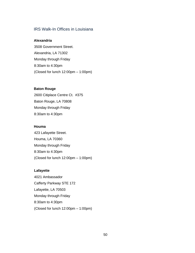# IRS Walk-In Offices in Louisiana

#### **Alexandria**

3508 Government Street. Alexandria, LA 71302 Monday through Friday 8:30am to 4:30pm (Closed for lunch 12:00pm – 1:00pm)

#### **Baton Rouge**

2600 Citiplace Centre Ct. #375 Baton Rouge, LA 70808 Monday through Friday 8:30am to 4:30pm

### **Houma**

423 Lafayette Street. Houma, LA 70360 Monday through Friday 8:30am to 4:30pm (Closed for lunch 12:00pm – 1:00pm)

#### **Lafayette**

4021 Ambassador Cafferty Parkway STE 172 Lafayette, LA 70503 Monday through Friday 8:30am to 4:30pm (Closed for lunch 12:00pm – 1:00pm)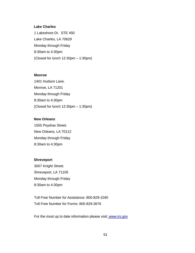#### **Lake Charles**

1 Lakeshore Dr. STE 450 Lake Charles, LA 70629 Monday through Friday 8:30am to 4:30pm (Closed for lunch 12:30pm – 1:30pm)

#### **Monroe**

1401 Hudson Lane. Monroe, LA 71201 Monday through Friday 8:30am to 4:30pm (Closed for lunch 12:30pm – 1:30pm)

#### **New Orleans**

1555 Poydras Street. New Orleans, LA 70112 Monday through Friday 8:30am to 4:30pm

#### **Shreveport**

3007 Knight Street. Shreveport, LA 71105 Monday through Friday 8:30am to 4:30pm

Toll Free Number for Assistance: 800-829-1040 Toll Free Number for Forms: 800-829-3676

For the most up to date information please visit[:](http://www.irs.gov/) www.irs.gov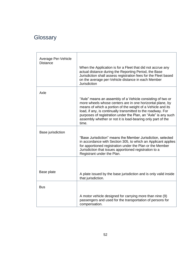# **Glossary**

| Average Per-Vehicle<br><b>Distance</b> | When the Application is for a Fleet that did not accrue any<br>actual distance during the Reporting Period, the Base<br>Jurisdiction shall assess registration fees for the Fleet based<br>on the average per-Vehicle distance in each Member<br>Jurisdiction                                                                                                                                    |
|----------------------------------------|--------------------------------------------------------------------------------------------------------------------------------------------------------------------------------------------------------------------------------------------------------------------------------------------------------------------------------------------------------------------------------------------------|
| Axle                                   |                                                                                                                                                                                                                                                                                                                                                                                                  |
|                                        | "Axle" means an assembly of a Vehicle consisting of two or<br>more wheels whose centers are in one horizontal plane, by<br>means of which a portion of the weight of a Vehicle and its<br>load, if any, is continually transmitted to the roadway. For<br>purposes of registration under the Plan, an "Axle" is any such<br>assembly whether or not it is load-bearing only part of the<br>time. |
| Base jurisdiction                      |                                                                                                                                                                                                                                                                                                                                                                                                  |
|                                        | "Base Jurisdiction" means the Member Jurisdiction, selected<br>in accordance with Section 305, to which an Applicant applies<br>for apportioned registration under the Plan or the Member<br>Jurisdiction that issues apportioned registration to a<br>Registrant under the Plan.                                                                                                                |
|                                        |                                                                                                                                                                                                                                                                                                                                                                                                  |
| Base plate                             | A plate issued by the base jurisdiction and is only valid inside<br>that jurisdiction.                                                                                                                                                                                                                                                                                                           |
| <b>Bus</b>                             |                                                                                                                                                                                                                                                                                                                                                                                                  |
|                                        | A motor vehicle designed for carrying more than nine (9)<br>passengers and used for the transportation of persons for<br>compensation.                                                                                                                                                                                                                                                           |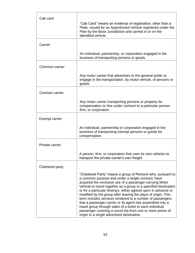| Cab card         |                                                                                                                                                                                                                                                                                                                                                                                                                                                                                                                                                                                                                                                                                           |
|------------------|-------------------------------------------------------------------------------------------------------------------------------------------------------------------------------------------------------------------------------------------------------------------------------------------------------------------------------------------------------------------------------------------------------------------------------------------------------------------------------------------------------------------------------------------------------------------------------------------------------------------------------------------------------------------------------------------|
|                  | "Cab Card" means an evidence of registration, other than a<br>Plate, issued for an Apportioned Vehicle registered under the<br>Plan by the Base Jurisdiction and carried in or on the<br>identified vehicle.                                                                                                                                                                                                                                                                                                                                                                                                                                                                              |
| Carrier          |                                                                                                                                                                                                                                                                                                                                                                                                                                                                                                                                                                                                                                                                                           |
|                  | An individual, partnership, or corporation engaged in the<br>business of transporting persons or goods.                                                                                                                                                                                                                                                                                                                                                                                                                                                                                                                                                                                   |
| Common carrier   |                                                                                                                                                                                                                                                                                                                                                                                                                                                                                                                                                                                                                                                                                           |
|                  | Any motor carrier that advertises to the general public to<br>engage in the transportation, by motor vehicle, of persons or<br>goods.                                                                                                                                                                                                                                                                                                                                                                                                                                                                                                                                                     |
| Contract carrier |                                                                                                                                                                                                                                                                                                                                                                                                                                                                                                                                                                                                                                                                                           |
|                  | Any motor carrier transporting persons or property for<br>compensation or hire under contract to a particular person,<br>firm, or corporation.                                                                                                                                                                                                                                                                                                                                                                                                                                                                                                                                            |
| Exempt carrier   |                                                                                                                                                                                                                                                                                                                                                                                                                                                                                                                                                                                                                                                                                           |
|                  | An individual, partnership or corporation engaged in the<br>business of transporting exempt persons or goods for<br>compensation.                                                                                                                                                                                                                                                                                                                                                                                                                                                                                                                                                         |
| Private carrier  |                                                                                                                                                                                                                                                                                                                                                                                                                                                                                                                                                                                                                                                                                           |
|                  | A person, firm, or corporation that uses its own vehicles to<br>transport the private carrier's own freight.                                                                                                                                                                                                                                                                                                                                                                                                                                                                                                                                                                              |
| Chartered party  |                                                                                                                                                                                                                                                                                                                                                                                                                                                                                                                                                                                                                                                                                           |
|                  | "Chartered Party" means a group of Persons who, pursuant to<br>a common purpose and under a single contract, have<br>acquired the exclusive use of a passenger-carrying Motor<br>Vehicle to travel together as a group to a specified destination<br>or for a particular itinerary, either agreed upon in advance or<br>modified by the group after leaving the place of origin. This<br>term includes services rendered to a number of passengers<br>that a passenger carrier or its agent has assembled into a<br>travel group through sales of a ticket to each individual<br>passenger covering a round trip from one or more points of<br>origin to a single advertised destination. |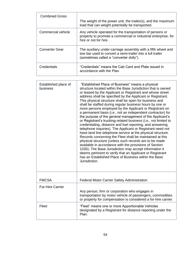| <b>Combined Gross</b> |                                                                                                                                                                       |
|-----------------------|-----------------------------------------------------------------------------------------------------------------------------------------------------------------------|
|                       | The weight of the power unit, the trailer(s), and the maximum<br>load that can weight potentially be transported.                                                     |
| Commercial vehicle    | Any vehicle operated for the transportation of persons or<br>property to promote a commercial or industrial enterprise, for<br>hire or not for hire.                  |
| Converter Gear        | The auxiliary under-carriage assembly with a fifth wheel and<br>tow bar used to convert a semi-trailer into a full trailer<br>(sometimes called a "converter dolly"). |
| Credentials           | "Credentials" means the Cab Card and Plate issued in<br>accordance with the Plan.                                                                                     |

| Established place of<br>business | "Established Place of Business" means a physical<br>structure located within the Base Jurisdiction that is owned<br>or leased by the Applicant or Registrant and whose street<br>address shall be specified by the Applicant or Registrant.<br>This physical structure shall be open for business and<br>shall be staffed during regular business hours by one or<br>more persons employed by the Applicant or Registrant on<br>a permanent basis (i.e., not an independent contractor) for<br>the purpose of the general management of the Applicant's<br>or Registrant's trucking-related business (i.e., not limited to<br>credentialing, distance and fuel reporting, and answering<br>telephone inquiries). The Applicant or Registrant need not<br>have land line telephone service at the physical structure.<br>Records concerning the Fleet shall be maintained at this<br>physical structure (unless such records are to be made<br>available in accordance with the provisions of Section<br>1035). The Base Jurisdiction may accept information it<br>deems pertinent to verify that an Applicant or Registrant<br>has an Established Place of Business within the Base<br>Jurisdiction. |
|----------------------------------|------------------------------------------------------------------------------------------------------------------------------------------------------------------------------------------------------------------------------------------------------------------------------------------------------------------------------------------------------------------------------------------------------------------------------------------------------------------------------------------------------------------------------------------------------------------------------------------------------------------------------------------------------------------------------------------------------------------------------------------------------------------------------------------------------------------------------------------------------------------------------------------------------------------------------------------------------------------------------------------------------------------------------------------------------------------------------------------------------------------------------------------------------------------------------------------------------|
| <b>FMCSA</b>                     | <b>Federal Motor Carrier Safety Administration</b>                                                                                                                                                                                                                                                                                                                                                                                                                                                                                                                                                                                                                                                                                                                                                                                                                                                                                                                                                                                                                                                                                                                                                   |
| <b>For-Hire Carrier</b>          |                                                                                                                                                                                                                                                                                                                                                                                                                                                                                                                                                                                                                                                                                                                                                                                                                                                                                                                                                                                                                                                                                                                                                                                                      |
|                                  | Any person, firm or corporation who engages in<br>transportation by motor vehicle of passengers, commodities<br>or property for compensation is considered a for-hire carrier.                                                                                                                                                                                                                                                                                                                                                                                                                                                                                                                                                                                                                                                                                                                                                                                                                                                                                                                                                                                                                       |
| Fleet                            | "Fleet" means one or more Apportionable Vehicles<br>designated by a Registrant for distance reporting under the<br>Plan.                                                                                                                                                                                                                                                                                                                                                                                                                                                                                                                                                                                                                                                                                                                                                                                                                                                                                                                                                                                                                                                                             |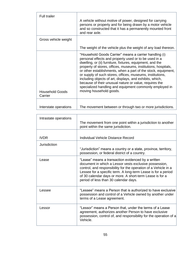| <b>Full trailer</b>               | A vehicle without motive of power, designed for carrying<br>persons or property and for being drawn by a motor vehicle<br>and so constructed that it has a permanently mounted front<br>and rear axle.                                                                                                                                                                                                                                                                                                                                                                                   |
|-----------------------------------|------------------------------------------------------------------------------------------------------------------------------------------------------------------------------------------------------------------------------------------------------------------------------------------------------------------------------------------------------------------------------------------------------------------------------------------------------------------------------------------------------------------------------------------------------------------------------------------|
| Gross vehicle weight              |                                                                                                                                                                                                                                                                                                                                                                                                                                                                                                                                                                                          |
|                                   | The weight of the vehicle plus the weight of any load thereon.                                                                                                                                                                                                                                                                                                                                                                                                                                                                                                                           |
| <b>Household Goods</b><br>Carrier | "Household Goods Carrier" means a carrier handling (i)<br>personal effects and property used or to be used in a<br>dwelling, or (ii) furniture, fixtures, equipment, and the<br>property of stores, offices, museums, institutions, hospitals,<br>or other establishments, when a part of the stock, equipment,<br>or supply of such stores, offices, museums, institutions,<br>including objects of art, displays, and exhibits, which,<br>because of their unusual nature or value, requires the<br>specialized handling and equipment commonly employed in<br>moving household goods. |
| Interstate operations             | The movement between or through two or more jurisdictions.                                                                                                                                                                                                                                                                                                                                                                                                                                                                                                                               |

| Intrastate operations |                                                                                                                                                                                                                                                                                                                                                       |
|-----------------------|-------------------------------------------------------------------------------------------------------------------------------------------------------------------------------------------------------------------------------------------------------------------------------------------------------------------------------------------------------|
|                       | The movement from one point within a jurisdiction to another<br>point within the same jurisdiction.                                                                                                                                                                                                                                                   |
|                       |                                                                                                                                                                                                                                                                                                                                                       |
| <b>IVDR</b>           | Individual Vehicle Distance Record                                                                                                                                                                                                                                                                                                                    |
| Jurisdiction          |                                                                                                                                                                                                                                                                                                                                                       |
|                       | "Jurisdiction" means a country or a state, province, territory,<br>possession, or federal district of a country.                                                                                                                                                                                                                                      |
| Lease                 | "Lease" means a transaction evidenced by a written<br>document in which a Lessor vests exclusive possession,<br>control, and responsibility for the operation of a Vehicle in a<br>Lessee for a specific term. A long-term Lease is for a period<br>of 30 calendar days or more. A short-term Lease is for a<br>period of less than 30 calendar days. |
| Lessee                | "Lessee" means a Person that is authorized to have exclusive<br>possession and control of a Vehicle owned by another under<br>terms of a Lease agreement.                                                                                                                                                                                             |
| Lessor                | "Lessor" means a Person that, under the terms of a Lease<br>agreement, authorizes another Person to have exclusive<br>possession, control of, and responsibility for the operation of a<br>Vehicle.                                                                                                                                                   |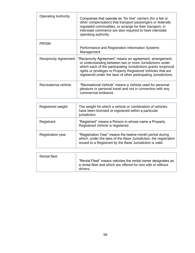| <b>Operating Authority</b>   | Companies that operate as "for hire" carriers (for a fee or<br>other compensation) that transport passengers or federally<br>regulated commodities, or arrange for their transport, in<br>interstate commerce are also required to have interstate<br>operating authority.                                                  |
|------------------------------|-----------------------------------------------------------------------------------------------------------------------------------------------------------------------------------------------------------------------------------------------------------------------------------------------------------------------------|
| <b>PRISM</b>                 |                                                                                                                                                                                                                                                                                                                             |
|                              | Performance and Registration Information Systems<br>Management                                                                                                                                                                                                                                                              |
| <b>Reciprocity Agreement</b> | "Reciprocity Agreement" means an agreement, arrangement,<br>or understanding between two or more Jurisdictions under<br>which each of the participating Jurisdictions grants reciprocal<br>rights or privileges to Properly Registered Vehicles that are<br>registered under the laws of other participating Jurisdictions. |
| Recreational vehicle         | "Recreational Vehicle" means a Vehicle used for personal<br>pleasure or personal travel and not in connection with any<br>commercial endeavor.                                                                                                                                                                              |

| Registered weight        | The weight for which a vehicle or combination of vehicles<br>have been licensed or registered within a particular<br>jurisdiction.                                                        |
|--------------------------|-------------------------------------------------------------------------------------------------------------------------------------------------------------------------------------------|
| Registrant               | "Registrant" means a Person in whose name a Properly<br>Registered Vehicle is registered.                                                                                                 |
| <b>Registration year</b> | "Registration Year" means the twelve-month period during<br>which, under the laws of the Base Jurisdiction, the registration<br>issued to a Registrant by the Base Jurisdiction is valid. |

| Rental fleet |                                                                                                                                           |
|--------------|-------------------------------------------------------------------------------------------------------------------------------------------|
|              | "Rental Fleet" means vehicles the rental owner designates as<br>a rental fleet and which are offered for rent with or without<br>drivers. |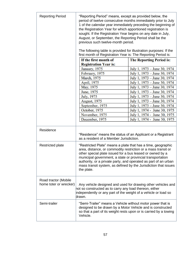| <b>Reporting Period</b>                        | "Reporting Period" means, except as provided below, the<br>period of twelve consecutive months immediately prior to July<br>1 of the calendar year immediately preceding the beginning of<br>the Registration Year for which apportioned registration is<br>sought. If the Registration Year begins on any date in July,<br>August, or September, the Reporting Period shall be the<br>previous such twelve-month period.<br>The following table is provided for illustration purposes: If the<br>first month of Registration Year is: The Reporting Period is: |                                                              |
|------------------------------------------------|-----------------------------------------------------------------------------------------------------------------------------------------------------------------------------------------------------------------------------------------------------------------------------------------------------------------------------------------------------------------------------------------------------------------------------------------------------------------------------------------------------------------------------------------------------------------|--------------------------------------------------------------|
|                                                | If the first month of                                                                                                                                                                                                                                                                                                                                                                                                                                                                                                                                           | <b>The Reporting Period is:</b>                              |
|                                                | <b>Registration Year is:</b>                                                                                                                                                                                                                                                                                                                                                                                                                                                                                                                                    |                                                              |
|                                                | January, 1975                                                                                                                                                                                                                                                                                                                                                                                                                                                                                                                                                   | July 1, 1973 – June 30, 1974                                 |
|                                                | February, 1975                                                                                                                                                                                                                                                                                                                                                                                                                                                                                                                                                  | July 1, 1973 - June 30, 1974                                 |
|                                                | <b>March</b> , 1975                                                                                                                                                                                                                                                                                                                                                                                                                                                                                                                                             | July 1, 1973 – June 30, 1974                                 |
|                                                | April, 1975                                                                                                                                                                                                                                                                                                                                                                                                                                                                                                                                                     | July 1, 1973 - June 30, 1974                                 |
|                                                | May, 1975                                                                                                                                                                                                                                                                                                                                                                                                                                                                                                                                                       | July 1, 1973 - June 30, 1974                                 |
|                                                | June, 1975                                                                                                                                                                                                                                                                                                                                                                                                                                                                                                                                                      | July 1, 1973 – June 30, 1974                                 |
|                                                | July, 1975                                                                                                                                                                                                                                                                                                                                                                                                                                                                                                                                                      | July 1, 1973 - June 30, 1974                                 |
|                                                | <b>August</b> , 1975                                                                                                                                                                                                                                                                                                                                                                                                                                                                                                                                            | July 1, 1973 – June 30, 1974                                 |
|                                                | September, 1975<br>October, 1975                                                                                                                                                                                                                                                                                                                                                                                                                                                                                                                                | July 1, 1973 – June 30, 1974                                 |
|                                                | November, 1975                                                                                                                                                                                                                                                                                                                                                                                                                                                                                                                                                  | July 1, 1974 - June 30, 1975<br>July 1, 1974 - June 30, 1975 |
|                                                | December, 1975                                                                                                                                                                                                                                                                                                                                                                                                                                                                                                                                                  | July 1, 1974 - June 30, 1975                                 |
|                                                |                                                                                                                                                                                                                                                                                                                                                                                                                                                                                                                                                                 |                                                              |
| Residence                                      | "Residence" means the status of an Applicant or a Registrant<br>as a resident of a Member Jurisdiction.                                                                                                                                                                                                                                                                                                                                                                                                                                                         |                                                              |
| <b>Restricted plate</b>                        | "Restricted Plate" means a plate that has a time, geographic<br>area, distance, or commodity restriction or a mass transit or<br>other special plate issued for a bus leased or owned by a<br>municipal government, a state or provincial transportation<br>authority, or a private party, and operated as part of an urban<br>mass transit system, as defined by the Jurisdiction that issues<br>the plate.                                                                                                                                                    |                                                              |
| Road tractor (Mobile<br>home toter or wrecker) | Any vehicle designed and used for drawing other vehicles and<br>hot so constructed as to carry any load thereon, either<br>independently or any part of the weight of a vehicle or load so<br>drawn.                                                                                                                                                                                                                                                                                                                                                            |                                                              |
| Semi-trailer                                   | "Semi-Trailer" means a Vehicle without motor power that is<br>designed to be drawn by a Motor Vehicle and is constructed<br>so that a part of its weight rests upon or is carried by a towing<br>Vehicle.                                                                                                                                                                                                                                                                                                                                                       |                                                              |